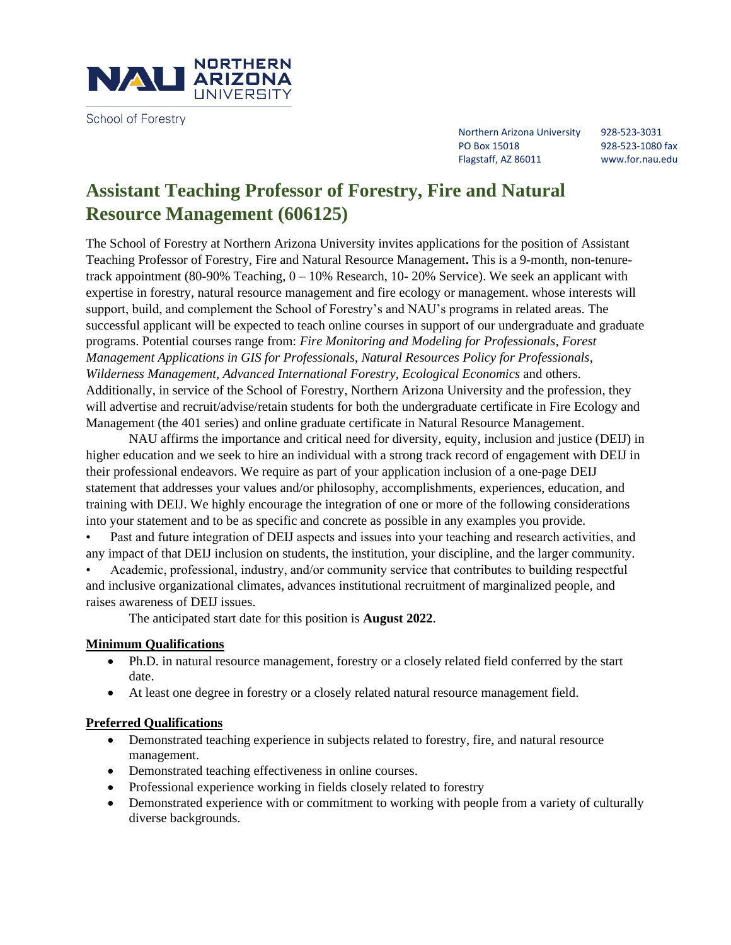

School of Forestry

Northern Arizona University 928-523-3031 PO Box 15018 928-523-1080 fax Flagstaff, AZ 86011 www.for.nau.edu

# **Assistant Teaching Professor of Forestry, Fire and Natural Resource Management (606125)**

The School of Forestry at Northern Arizona University invites applications for the position of Assistant Teaching Professor of Forestry, Fire and Natural Resource Management**.** This is a 9-month, non-tenuretrack appointment (80-90% Teaching,  $0 - 10%$  Research, 10-20% Service). We seek an applicant with expertise in forestry, natural resource management and fire ecology or management. whose interests will support, build, and complement the School of Forestry's and NAU's programs in related areas. The successful applicant will be expected to teach online courses in support of our undergraduate and graduate programs. Potential courses range from: *Fire Monitoring and Modeling for Professionals*, *Forest Management Applications in GIS for Professionals*, *Natural Resources Policy for Professionals*, *Wilderness Management*, *Advanced International Forestry*, *Ecological Economics* and others. Additionally, in service of the School of Forestry, Northern Arizona University and the profession, they will advertise and recruit/advise/retain students for both the undergraduate certificate in Fire Ecology and Management (the 401 series) and online graduate certificate in Natural Resource Management.

NAU affirms the importance and critical need for diversity, equity, inclusion and justice (DEIJ) in higher education and we seek to hire an individual with a strong track record of engagement with DEIJ in their professional endeavors. We require as part of your application inclusion of a one-page DEIJ statement that addresses your values and/or philosophy, accomplishments, experiences, education, and training with DEIJ. We highly encourage the integration of one or more of the following considerations into your statement and to be as specific and concrete as possible in any examples you provide.

• Past and future integration of DEIJ aspects and issues into your teaching and research activities, and any impact of that DEIJ inclusion on students, the institution, your discipline, and the larger community.

• Academic, professional, industry, and/or community service that contributes to building respectful and inclusive organizational climates, advances institutional recruitment of marginalized people, and raises awareness of DEIJ issues.

The anticipated start date for this position is **August 2022**.

## **Minimum Qualifications**

- Ph.D. in natural resource management, forestry or a closely related field conferred by the start date.
- At least one degree in forestry or a closely related natural resource management field.

## **Preferred Qualifications**

- Demonstrated teaching experience in subjects related to forestry, fire, and natural resource management.
- Demonstrated teaching effectiveness in online courses.
- Professional experience working in fields closely related to forestry
- Demonstrated experience with or commitment to working with people from a variety of culturally diverse backgrounds.